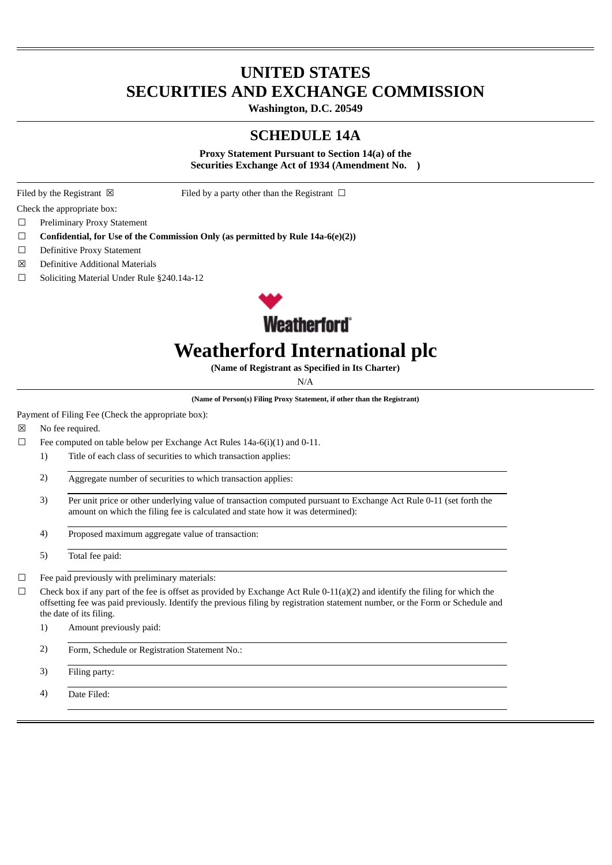# **UNITED STATES SECURITIES AND EXCHANGE COMMISSION**

**Washington, D.C. 20549**

#### **SCHEDULE 14A**

**Proxy Statement Pursuant to Section 14(a) of the Securities Exchange Act of 1934 (Amendment No. )**

Filed by the Registrant  $\boxtimes$  Filed by a party other than the Registrant  $\Box$ 

Check the appropriate box:

- ☐ Preliminary Proxy Statement
- ☐ **Confidential, for Use of the Commission Only (as permitted by Rule 14a-6(e)(2))**
- □ Definitive Proxy Statement
- ☒ Definitive Additional Materials
- ☐ Soliciting Material Under Rule §240.14a-12



# **Weatherford International plc**

**(Name of Registrant as Specified in Its Charter)**

N/A

**(Name of Person(s) Filing Proxy Statement, if other than the Registrant)**

Payment of Filing Fee (Check the appropriate box):

☒ No fee required.

- $\Box$  Fee computed on table below per Exchange Act Rules 14a-6(i)(1) and 0-11.
	- 1) Title of each class of securities to which transaction applies:
	- 2) Aggregate number of securities to which transaction applies:
	- 3) Per unit price or other underlying value of transaction computed pursuant to Exchange Act Rule 0-11 (set forth the amount on which the filing fee is calculated and state how it was determined):
	- 4) Proposed maximum aggregate value of transaction:

5) Total fee paid:

- ☐ Fee paid previously with preliminary materials:
- $\Box$  Check box if any part of the fee is offset as provided by Exchange Act Rule 0-11(a)(2) and identify the filing for which the offsetting fee was paid previously. Identify the previous filing by registration statement number, or the Form or Schedule and the date of its filing.

1) Amount previously paid:

- 2) Form, Schedule or Registration Statement No.:
- 3) Filing party:

4) Date Filed: